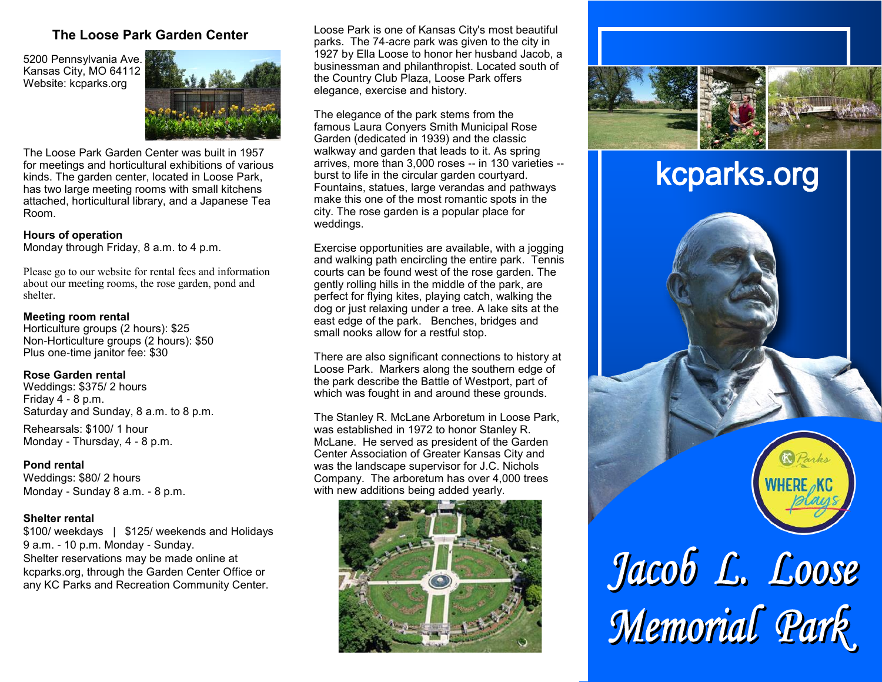## **The Loose Park Garden Center**

5200 Pennsylvania Ave. Kansas City, MO 64112 Website: kcparks.org



The Loose Park Garden Center was built in 1957 for meetings and horticultural exhibitions of various kinds. The garden center, located in Loose Park, has two large meeting rooms with small kitchens attached, horticultural library, and a Japanese Tea Room.

#### **Hours of operation**

Monday through Friday, 8 a.m. to 4 p.m.

Please go to our website for rental fees and information about our meeting rooms, the rose garden, pond and shelter.

#### **Meeting room rental**

Horticulture groups (2 hours): \$25 Non-Horticulture groups (2 hours): \$50 Plus one-time janitor fee: \$30

#### **Rose Garden rental**

Weddings: \$375/ 2 hours Friday  $4 - 8$  p.m. Saturday and Sunday, 8 a.m. to 8 p.m.

Rehearsals: \$100/ 1 hour Monday - Thursday, 4 - 8 p.m.

#### **Pond rental**

Weddings: \$80/ 2 hours Monday - Sunday 8 a.m. - 8 p.m.

### **Shelter rental**

\$100/ weekdays | \$125/ weekends and Holidays 9 a.m. - 10 p.m. Monday - Sunday. Shelter reservations may be made online at kcparks.org, through the Garden Center Office or any KC Parks and Recreation Community Center.

Loose Park is one of Kansas City's most beautiful parks. The 74-acre park was given to the city in 1927 by Ella Loose to honor her husband Jacob, a businessman and philanthropist. Located south of the Country Club Plaza, Loose Park offers elegance, exercise and history.

The elegance of the park stems from the famous Laura Conyers Smith Municipal Rose Garden (dedicated in 1939) and the classic walkway and garden that leads to it. As spring arrives, more than 3,000 roses -- in 130 varieties - burst to life in the circular garden courtyard. Fountains, statues, large verandas and pathways make this one of the most romantic spots in the city. The rose garden is a popular place for weddings.

Exercise opportunities are available, with a jogging and walking path encircling the entire park. Tennis courts can be found west of the rose garden. The gently rolling hills in the middle of the park, are perfect for flying kites, playing catch, walking the dog or just relaxing under a tree. A lake sits at the east edge of the park. Benches, bridges and small nooks allow for a restful stop.

There are also significant connections to history at Loose Park. Markers along the southern edge of the park describe the Battle of Westport, part of which was fought in and around these grounds.

The Stanley R. McLane Arboretum in Loose Park, was established in 1972 to honor Stanley R. McLane. He served as president of the Garden Center Association of Greater Kansas City and was the landscape supervisor for J.C. Nichols Company. The arboretum has over 4,000 trees with new additions being added yearly.





# kcparks.org



Jacob L. Loose<br>Memorial Park